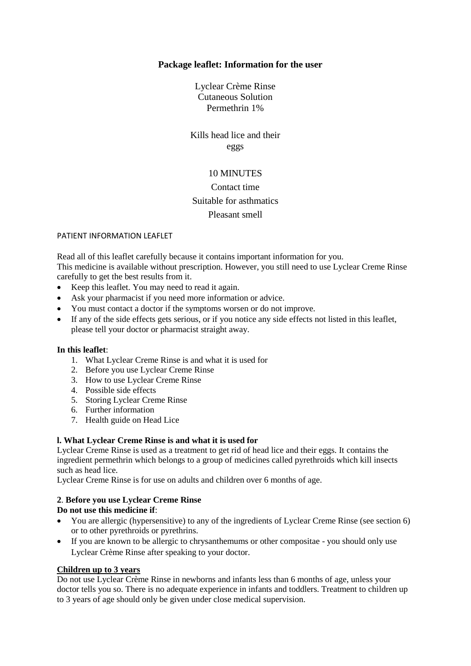### **Package leaflet: Information for the user**

Lyclear Crème Rinse Cutaneous Solution Permethrin 1%

Kills head lice and their eggs

### 10 MINUTES

# Contact time Suitable for asthmatics Pleasant smell

#### PATIENT INFORMATION LEAFLET

Read all of this leaflet carefully because it contains important information for you. This medicine is available without prescription. However, you still need to use Lyclear Creme Rinse carefully to get the best results from it.

- Keep this leaflet. You may need to read it again.
- Ask your pharmacist if you need more information or advice.
- You must contact a doctor if the symptoms worsen or do not improve.
- If any of the side effects gets serious, or if you notice any side effects not listed in this leaflet, please tell your doctor or pharmacist straight away.

#### **In this leaflet**:

- 1. What Lyclear Creme Rinse is and what it is used for
- 2. Before you use Lyclear Creme Rinse
- 3. How to use Lyclear Creme Rinse
- 4. Possible side effects
- 5. Storing Lyclear Creme Rinse
- 6. Further information
- 7. Health guide on Head Lice

#### **l. What Lyclear Creme Rinse is and what it is used for**

Lyclear Creme Rinse is used as a treatment to get rid of head lice and their eggs. It contains the ingredient permethrin which belongs to a group of medicines called pyrethroids which kill insects such as head lice.

Lyclear Creme Rinse is for use on adults and children over 6 months of age.

#### **2**. **Before you use Lyclear Creme Rinse**

#### **Do not use this medicine if**:

- You are allergic (hypersensitive) to any of the ingredients of Lyclear Creme Rinse (see section 6) or to other pyrethroids or pyrethrins.
- If you are known to be allergic to chrysanthemums or other compositae you should only use Lyclear Crème Rinse after speaking to your doctor.

#### **Children up to 3 years**

Do not use Lyclear Crème Rinse in newborns and infants less than 6 months of age, unless your doctor tells you so. There is no adequate experience in infants and toddlers. Treatment to children up to 3 years of age should only be given under close medical supervision.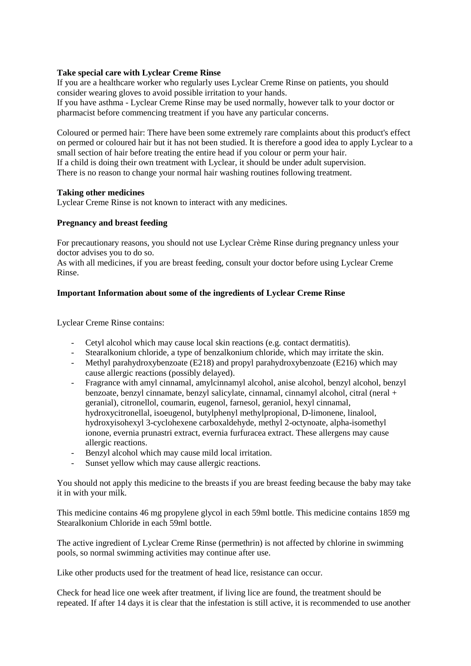#### **Take special care with Lyclear Creme Rinse**

If you are a healthcare worker who regularly uses Lyclear Creme Rinse on patients, you should consider wearing gloves to avoid possible irritation to your hands.

If you have asthma - Lyclear Creme Rinse may be used normally, however talk to your doctor or pharmacist before commencing treatment if you have any particular concerns.

Coloured or permed hair: There have been some extremely rare complaints about this product's effect on permed or coloured hair but it has not been studied. It is therefore a good idea to apply Lyclear to a small section of hair before treating the entire head if you colour or perm your hair. If a child is doing their own treatment with Lyclear, it should be under adult supervision. There is no reason to change your normal hair washing routines following treatment.

#### **Taking other medicines**

Lyclear Creme Rinse is not known to interact with any medicines.

#### **Pregnancy and breast feeding**

For precautionary reasons, you should not use Lyclear Crème Rinse during pregnancy unless your doctor advises you to do so.

As with all medicines, if you are breast feeding, consult your doctor before using Lyclear Creme Rinse.

#### **Important Information about some of the ingredients of Lyclear Creme Rinse**

Lyclear Creme Rinse contains:

- Cetyl alcohol which may cause local skin reactions (e.g. contact dermatitis).
- Stearalkonium chloride, a type of benzalkonium chloride, which may irritate the skin.
- Methyl parahydroxybenzoate (E218) and propyl parahydroxybenzoate (E216) which may cause allergic reactions (possibly delayed).
- Fragrance with amyl cinnamal, amylcinnamyl alcohol, anise alcohol, benzyl alcohol, benzyl benzoate, benzyl cinnamate, benzyl salicylate, cinnamal, cinnamyl alcohol, citral (neral + geranial), citronellol, coumarin, eugenol, farnesol, geraniol, hexyl cinnamal, hydroxycitronellal, isoeugenol, butylphenyl methylpropional, D-limonene, linalool, hydroxyisohexyl 3-cyclohexene carboxaldehyde, methyl 2-octynoate, alpha-isomethyl ionone, evernia prunastri extract, evernia furfuracea extract. These allergens may cause allergic reactions.
- Benzyl alcohol which may cause mild local irritation.
- Sunset yellow which may cause allergic reactions.

You should not apply this medicine to the breasts if you are breast feeding because the baby may take it in with your milk.

This medicine contains 46 mg propylene glycol in each 59ml bottle. This medicine contains 1859 mg Stearalkonium Chloride in each 59ml bottle.

The active ingredient of Lyclear Creme Rinse (permethrin) is not affected by chlorine in swimming pools, so normal swimming activities may continue after use.

Like other products used for the treatment of head lice, resistance can occur.

Check for head lice one week after treatment, if living lice are found, the treatment should be repeated. If after 14 days it is clear that the infestation is still active, it is recommended to use another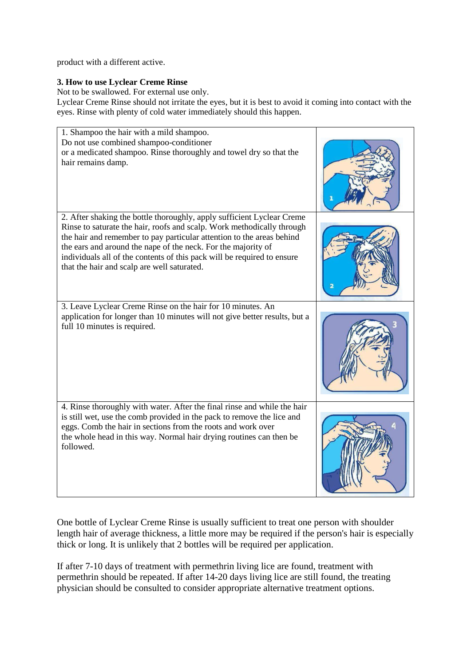product with a different active.

### **3. How to use Lyclear Creme Rinse**

Not to be swallowed. For external use only.

Lyclear Creme Rinse should not irritate the eyes, but it is best to avoid it coming into contact with the eyes. Rinse with plenty of cold water immediately should this happen.



One bottle of Lyclear Creme Rinse is usually sufficient to treat one person with shoulder length hair of average thickness, a little more may be required if the person's hair is especially thick or long. It is unlikely that 2 bottles will be required per application.

If after 7-10 days of treatment with permethrin living lice are found, treatment with permethrin should be repeated. If after 14-20 days living lice are still found, the treating physician should be consulted to consider appropriate alternative treatment options.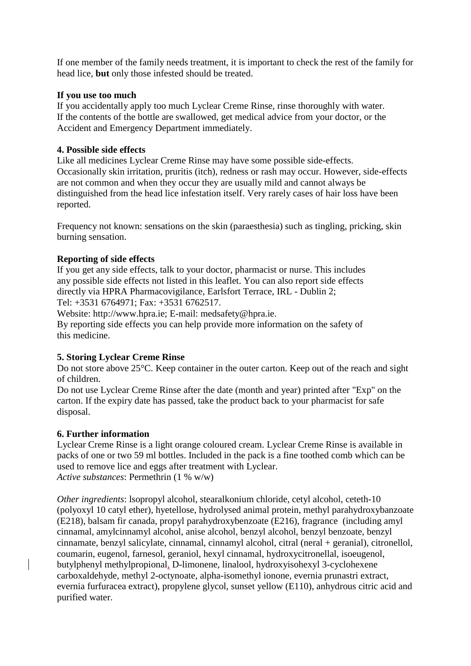If one member of the family needs treatment, it is important to check the rest of the family for head lice, **but** only those infested should be treated.

## **If you use too much**

If you accidentally apply too much Lyclear Creme Rinse, rinse thoroughly with water. If the contents of the bottle are swallowed, get medical advice from your doctor, or the Accident and Emergency Department immediately.

## **4. Possible side effects**

Like all medicines Lyclear Creme Rinse may have some possible side-effects. Occasionally skin irritation, pruritis (itch), redness or rash may occur. However, side-effects are not common and when they occur they are usually mild and cannot always be distinguished from the head lice infestation itself. Very rarely cases of hair loss have been reported.

Frequency not known: sensations on the skin (paraesthesia) such as tingling, pricking, skin burning sensation.

## **Reporting of side effects**

If you get any side effects, talk to your doctor, pharmacist or nurse. This includes any possible side effects not listed in this leaflet. You can also report side effects directly via HPRA Pharmacovigilance, Earlsfort Terrace, IRL - Dublin 2; Tel: +3531 6764971; Fax: +3531 6762517.

Website: http://www.hpra.ie; E-mail: medsafety@hpra.ie.

By reporting side effects you can help provide more information on the safety of this medicine.

## **5. Storing Lyclear Creme Rinse**

Do not store above 25°C. Keep container in the outer carton. Keep out of the reach and sight of children.

Do not use Lyclear Creme Rinse after the date (month and year) printed after "Exp" on the carton. If the expiry date has passed, take the product back to your pharmacist for safe disposal.

## **6. Further information**

Lyclear Creme Rinse is a light orange coloured cream. Lyclear Creme Rinse is available in packs of one or two 59 ml bottles. Included in the pack is a fine toothed comb which can be used to remove lice and eggs after treatment with Lyclear. *Active substances*: Permethrin (1 % w/w)

*Other ingredients*: lsopropyl alcohol, stearalkonium chloride, cetyl alcohol, ceteth-10 (polyoxyl 10 catyl ether), hyetellose, hydrolysed animal protein, methyl parahydroxybanzoate (E218), balsam fir canada, propyl parahydroxybenzoate (E216), fragrance (including amyl cinnamal, amylcinnamyl alcohol, anise alcohol, benzyl alcohol, benzyl benzoate, benzyl cinnamate, benzyl salicylate, cinnamal, cinnamyl alcohol, citral (neral + geranial), citronellol, coumarin, eugenol, farnesol, geraniol, hexyl cinnamal, hydroxycitronellal, isoeugenol, butylphenyl methylpropional, D-limonene, linalool, hydroxyisohexyl 3-cyclohexene carboxaldehyde, methyl 2-octynoate, alpha-isomethyl ionone, evernia prunastri extract, evernia furfuracea extract), propylene glycol, sunset yellow (E110), anhydrous citric acid and purified water.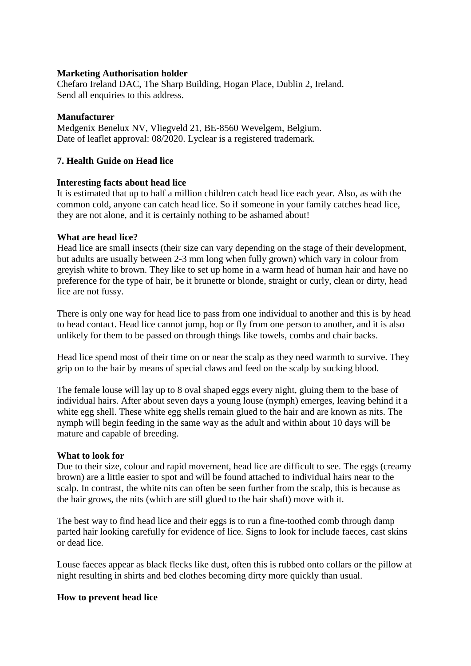### **Marketing Authorisation holder**

Chefaro Ireland DAC, The Sharp Building, Hogan Place, Dublin 2, Ireland. Send all enquiries to this address.

### **Manufacturer**

Medgenix Benelux NV, Vliegveld 21, BE-8560 Wevelgem, Belgium. Date of leaflet approval: 08/2020. Lyclear is a registered trademark.

## **7. Health Guide on Head lice**

### **Interesting facts about head lice**

It is estimated that up to half a million children catch head lice each year. Also, as with the common cold, anyone can catch head lice. So if someone in your family catches head lice, they are not alone, and it is certainly nothing to be ashamed about!

### **What are head lice?**

Head lice are small insects (their size can vary depending on the stage of their development, but adults are usually between 2-3 mm long when fully grown) which vary in colour from greyish white to brown. They like to set up home in a warm head of human hair and have no preference for the type of hair, be it brunette or blonde, straight or curly, clean or dirty, head lice are not fussy.

There is only one way for head lice to pass from one individual to another and this is by head to head contact. Head lice cannot jump, hop or fly from one person to another, and it is also unlikely for them to be passed on through things like towels, combs and chair backs.

Head lice spend most of their time on or near the scalp as they need warmth to survive. They grip on to the hair by means of special claws and feed on the scalp by sucking blood.

The female louse will lay up to 8 oval shaped eggs every night, gluing them to the base of individual hairs. After about seven days a young louse (nymph) emerges, leaving behind it a white egg shell. These white egg shells remain glued to the hair and are known as nits. The nymph will begin feeding in the same way as the adult and within about 10 days will be mature and capable of breeding.

### **What to look for**

Due to their size, colour and rapid movement, head lice are difficult to see. The eggs (creamy brown) are a little easier to spot and will be found attached to individual hairs near to the scalp. In contrast, the white nits can often be seen further from the scalp, this is because as the hair grows, the nits (which are still glued to the hair shaft) move with it.

The best way to find head lice and their eggs is to run a fine-toothed comb through damp parted hair looking carefully for evidence of lice. Signs to look for include faeces, cast skins or dead lice.

Louse faeces appear as black flecks like dust, often this is rubbed onto collars or the pillow at night resulting in shirts and bed clothes becoming dirty more quickly than usual.

## **How to prevent head lice**